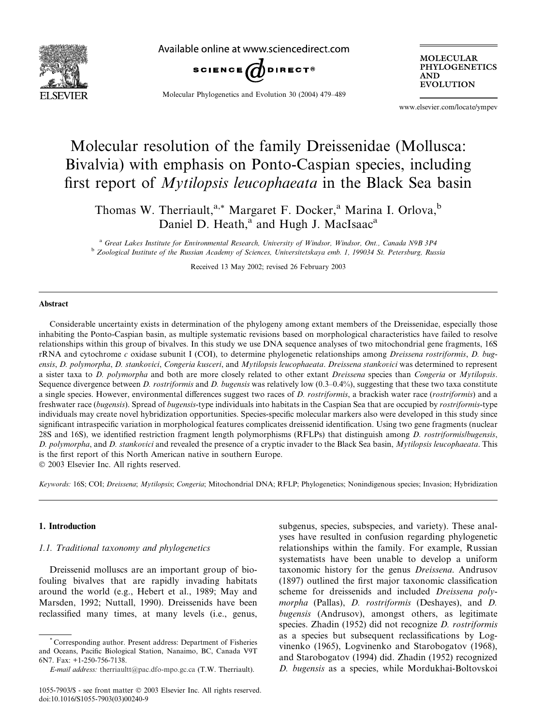

Available online at www.sciencedirect.com



Molecular Phylogenetics and Evolution 30 (2004) 479–489

MOLECULAR PHYLOGENETICS AND **EVOLUTION** 

www.elsevier.com/locate/ympev

# Molecular resolution of the family Dreissenidae (Mollusca: Bivalvia) with emphasis on Ponto-Caspian species, including first report of Mytilopsis leucophaeata in the Black Sea basin

Thomas W. Therriault,<sup>a,\*</sup> Margaret F. Docker,<sup>a</sup> Marina I. Orlova,<sup>b</sup> Daniel D. Heath,<sup>a</sup> and Hugh J. MacIsaac<sup>a</sup>

<sup>a</sup> Great Lakes Institute for Environmental Research, University of Windsor, Windsor, Ont., Canada N9B 3P4 <sup>b</sup> Zoological Institute of the Russian Academy of Sciences, Universitetskaya emb. 1, 199034 St. Petersburg, Russia

Received 13 May 2002; revised 26 February 2003

# Abstract

Considerable uncertainty exists in determination of the phylogeny among extant members of the Dreissenidae, especially those inhabiting the Ponto-Caspian basin, as multiple systematic revisions based on morphological characteristics have failed to resolve relationships within this group of bivalves. In this study we use DNA sequence analyses of two mitochondrial gene fragments, 16S rRNA and cytochrome c oxidase subunit I (COI), to determine phylogenetic relationships among Dreissena rostriformis, D. bugensis, D. polymorpha, D. stankovici, Congeria kusceri, and Mytilopsis leucophaeata. Dreissena stankovici was determined to represent a sister taxa to D. polymorpha and both are more closely related to other extant Dreissena species than Congeria or Mytilopsis. Sequence divergence between D. rostriformis and D. bugensis was relatively low  $(0.3-0.4\%)$ , suggesting that these two taxa constitute a single species. However, environmental differences suggest two races of D. rostriformis, a brackish water race (rostriformis) and a freshwater race (bugensis). Spread of bugensis-type individuals into habitats in the Caspian Sea that are occupied by rostriformis-type individuals may create novel hybridization opportunities. Species-specific molecular markers also were developed in this study since significant intraspecific variation in morphological features complicates dreissenid identification. Using two gene fragments (nuclear 28S and 16S), we identified restriction fragment length polymorphisms (RFLPs) that distinguish among *D. rostriformis/bugensis*, D. polymorpha, and D. stankovici and revealed the presence of a cryptic invader to the Black Sea basin, Mytilopsis leucophaeata. This is the first report of this North American native in southern Europe.

2003 Elsevier Inc. All rights reserved.

Keywords: 16S; COI; Dreissena; Mytilopsis; Congeria; Mitochondrial DNA; RFLP; Phylogenetics; Nonindigenous species; Invasion; Hybridization

# 1. Introduction

# 1.1. Traditional taxonomy and phylogenetics

Dreissenid molluscs are an important group of biofouling bivalves that are rapidly invading habitats around the world (e.g., Hebert et al., 1989; May and Marsden, 1992; Nuttall, 1990). Dreissenids have been reclassified many times, at many levels (i.e., genus, subgenus, species, subspecies, and variety). These analyses have resulted in confusion regarding phylogenetic relationships within the family. For example, Russian systematists have been unable to develop a uniform taxonomic history for the genus Dreissena. Andrusov (1897) outlined the first major taxonomic classification scheme for dreissenids and included Dreissena polymorpha (Pallas), D. rostriformis (Deshayes), and D. bugensis (Andrusov), amongst others, as legitimate species. Zhadin (1952) did not recognize D. rostriformis as a species but subsequent reclassifications by Logvinenko (1965), Logvinenko and Starobogatov (1968), and Starobogatov (1994) did. Zhadin (1952) recognized D. bugensis as a species, while Mordukhai-Boltovskoi

<sup>\*</sup> Corresponding author. Present address: Department of Fisheries and Oceans, Pacific Biological Station, Nanaimo, BC, Canada V9T 6N7. Fax: +1-250-756-7138.

E-mail address: [therriaultt@pac.dfo-mpo.gc.ca](mail to: therriaultt@pac.dfo-mpo.gc.ca) (T.W. Therriault).

<sup>1055-7903/\$ -</sup> see front matter 2003 Elsevier Inc. All rights reserved. doi:10.1016/S1055-7903(03)00240-9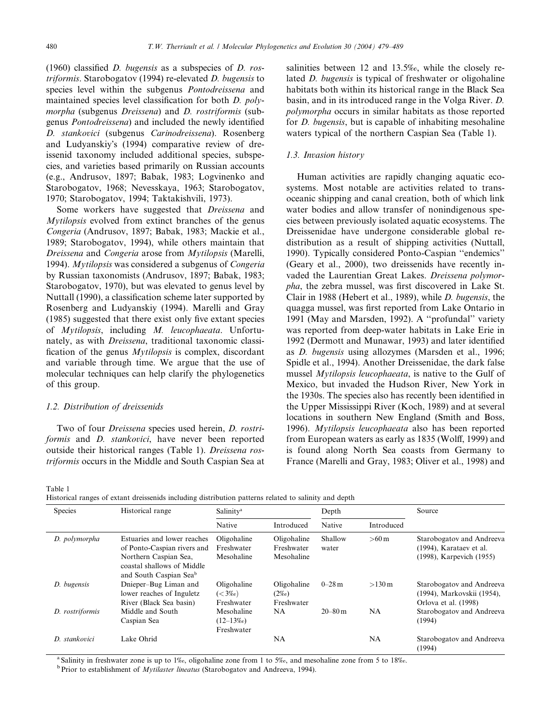(1960) classified  $D$ . bugensis as a subspecies of  $D$ . rostriformis. Starobogatov (1994) re-elevated D. bugensis to species level within the subgenus Pontodreissena and maintained species level classification for both D. polymorpha (subgenus Dreissena) and D. rostriformis (subgenus Pontodreissena) and included the newly identified D. stankovici (subgenus Carinodreissena). Rosenberg and Ludyanskiys (1994) comparative review of dreissenid taxonomy included additional species, subspecies, and varieties based primarily on Russian accounts (e.g., Andrusov, 1897; Babak, 1983; Logvinenko and Starobogatov, 1968; Nevesskaya, 1963; Starobogatov, 1970; Starobogatov, 1994; Taktakishvili, 1973).

Some workers have suggested that Dreissena and Mytilopsis evolved from extinct branches of the genus Congeria (Andrusov, 1897; Babak, 1983; Mackie et al., 1989; Starobogatov, 1994), while others maintain that Dreissena and Congeria arose from Mytilopsis (Marelli, 1994). Mytilopsis was considered a subgenus of Congeria by Russian taxonomists (Andrusov, 1897; Babak, 1983; Starobogatov, 1970), but was elevated to genus level by Nuttall (1990), a classification scheme later supported by Rosenberg and Ludyanskiy (1994). Marelli and Gray (1985) suggested that there exist only five extant species of Mytilopsis, including M. leucophaeata. Unfortunately, as with Dreissena, traditional taxonomic classification of the genus Mytilopsis is complex, discordant and variable through time. We argue that the use of molecular techniques can help clarify the phylogenetics of this group.

# 1.2. Distribution of dreissenids

Two of four Dreissena species used herein, D. rostriformis and *D. stankovici*, have never been reported outside their historical ranges (Table 1). Dreissena rostriformis occurs in the Middle and South Caspian Sea at

salinities between 12 and 13.5‰, while the closely related D. bugensis is typical of freshwater or oligohaline habitats both within its historical range in the Black Sea basin, and in its introduced range in the Volga River. D. polymorpha occurs in similar habitats as those reported for D. bugensis, but is capable of inhabiting mesohaline waters typical of the northern Caspian Sea (Table 1).

#### 1.3. Invasion history

Human activities are rapidly changing aquatic ecosystems. Most notable are activities related to transoceanic shipping and canal creation, both of which link water bodies and allow transfer of nonindigenous species between previously isolated aquatic ecosystems. The Dreissenidae have undergone considerable global redistribution as a result of shipping activities (Nuttall, 1990). Typically considered Ponto-Caspian ''endemics'' (Geary et al., 2000), two dreissenids have recently invaded the Laurentian Great Lakes. Dreissena polymorpha, the zebra mussel, was first discovered in Lake St. Clair in 1988 (Hebert et al., 1989), while D. bugensis, the quagga mussel, was first reported from Lake Ontario in 1991 (May and Marsden, 1992). A ''profundal'' variety was reported from deep-water habitats in Lake Erie in 1992 (Dermott and Munawar, 1993) and later identified as D. bugensis using allozymes (Marsden et al., 1996; Spidle et al., 1994). Another Dreissenidae, the dark false mussel *Mytilopsis leucophaeata*, is native to the Gulf of Mexico, but invaded the Hudson River, New York in the 1930s. The species also has recently been identified in the Upper Mississippi River (Koch, 1989) and at several locations in southern New England (Smith and Boss, 1996). Mytilopsis leucophaeata also has been reported from European waters as early as 1835 (Wolff, 1999) and is found along North Sea coasts from Germany to France (Marelli and Gray, 1983; Oliver et al., 1998) and

Table 1

|  | Historical ranges of extant dreissenids including distribution patterns related to salinity and depth |  |  |  |  |
|--|-------------------------------------------------------------------------------------------------------|--|--|--|--|
|--|-------------------------------------------------------------------------------------------------------|--|--|--|--|

| Species         | Historical range                                                                                                                            | Salinity <sup>a</sup>                   |                                         | Depth            |                     | Source                                                                              |
|-----------------|---------------------------------------------------------------------------------------------------------------------------------------------|-----------------------------------------|-----------------------------------------|------------------|---------------------|-------------------------------------------------------------------------------------|
|                 |                                                                                                                                             | Native                                  | Introduced                              | Native           | Introduced          |                                                                                     |
| D. polymorpha   | Estuaries and lower reaches<br>of Ponto-Caspian rivers and<br>Northern Caspian Sea,<br>coastal shallows of Middle<br>and South Caspian Seab | Oligohaline<br>Freshwater<br>Mesohaline | Oligohaline<br>Freshwater<br>Mesohaline | Shallow<br>water | $>60 \text{ m}$     | Starobogatov and Andreeva<br>$(1994)$ , Karataev et al.<br>(1998), Karpevich (1955) |
| D. bugensis     | Dnieper-Bug Liman and<br>lower reaches of Inguletz<br>River (Black Sea basin)                                                               | Oligohaline<br>$(< 3\%c)$<br>Freshwater | Oligohaline<br>$(2\%)$<br>Freshwater    | $0 - 28$ m       | $>130 \,\mathrm{m}$ | Starobogatov and Andreeva<br>(1994), Markovskii (1954),<br>Orlova et al. (1998)     |
| D. rostriformis | Middle and South<br>Caspian Sea                                                                                                             | Mesohaline<br>$(12-13\%)$<br>Freshwater | <b>NA</b>                               | $20 - 80$ m      | <b>NA</b>           | Starobogatov and Andreeva<br>(1994)                                                 |
| D. stankovici   | Lake Ohrid                                                                                                                                  |                                         | NA                                      |                  | NA                  | Starobogatov and Andreeva<br>(1994)                                                 |

<sup>a</sup> Salinity in freshwater zone is up to 1‰, oligohaline zone from 1 to 5‰, and mesohaline zone from 5 to 18‰. b Prior to establishment of *Mytilaster lineatus* (Starobogatov and Andreeva, 1994).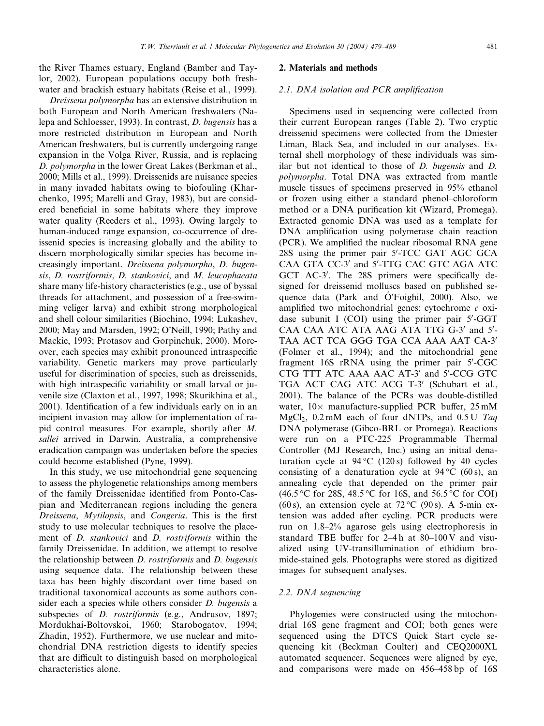the River Thames estuary, England (Bamber and Taylor, 2002). European populations occupy both freshwater and brackish estuary habitats (Reise et al., 1999).

Dreissena polymorpha has an extensive distribution in both European and North American freshwaters (Nalepa and Schloesser, 1993). In contrast, D. bugensis has a more restricted distribution in European and North American freshwaters, but is currently undergoing range expansion in the Volga River, Russia, and is replacing D. polymorpha in the lower Great Lakes (Berkman et al., 2000; Mills et al., 1999). Dreissenids are nuisance species in many invaded habitats owing to biofouling (Kharchenko, 1995; Marelli and Gray, 1983), but are considered beneficial in some habitats where they improve water quality (Reeders et al., 1993). Owing largely to human-induced range expansion, co-occurrence of dreissenid species is increasing globally and the ability to discern morphologically similar species has become increasingly important. Dreissena polymorpha, D. bugensis, D. rostriformis, D. stankovici, and M. leucophaeata share many life-history characteristics (e.g., use of byssal threads for attachment, and possession of a free-swimming veliger larva) and exhibit strong morphological and shell colour similarities (Biochino, 1994; Lukashev, 2000; May and Marsden, 1992; O'Neill, 1990; Pathy and Mackie, 1993; Protasov and Gorpinchuk, 2000). Moreover, each species may exhibit pronounced intraspecific variability. Genetic markers may prove particularly useful for discrimination of species, such as dreissenids, with high intraspecific variability or small larval or juvenile size (Claxton et al., 1997, 1998; Skurikhina et al., 2001). Identification of a few individuals early on in an incipient invasion may allow for implementation of rapid control measures. For example, shortly after M. sallei arrived in Darwin, Australia, a comprehensive eradication campaign was undertaken before the species could become established (Pyne, 1999).

In this study, we use mitochondrial gene sequencing to assess the phylogenetic relationships among members of the family Dreissenidae identified from Ponto-Caspian and Mediterranean regions including the genera Dreissena, Mytilopsis, and Congeria. This is the first study to use molecular techniques to resolve the placement of D. stankovici and D. rostriformis within the family Dreissenidae. In addition, we attempt to resolve the relationship between D. rostriformis and D. bugensis using sequence data. The relationship between these taxa has been highly discordant over time based on traditional taxonomical accounts as some authors consider each a species while others consider *D. bugensis* a subspecies of *D. rostriformis* (e.g., Andrusov, 1897; Mordukhai-Boltovskoi, 1960; Starobogatov, 1994; Zhadin, 1952). Furthermore, we use nuclear and mitochondrial DNA restriction digests to identify species that are difficult to distinguish based on morphological characteristics alone.

#### 2. Materials and methods

# 2.1. DNA isolation and PCR amplification

Specimens used in sequencing were collected from their current European ranges (Table 2). Two cryptic dreissenid specimens were collected from the Dniester Liman, Black Sea, and included in our analyses. External shell morphology of these individuals was similar but not identical to those of D. bugensis and D. polymorpha. Total DNA was extracted from mantle muscle tissues of specimens preserved in 95% ethanol or frozen using either a standard phenol–chloroform method or a DNA purification kit (Wizard, Promega). Extracted genomic DNA was used as a template for DNA amplification using polymerase chain reaction (PCR). We amplified the nuclear ribosomal RNA gene 28S using the primer pair 5'-TCC GAT AGC GCA CAA GTA CC-3' and 5'-TTG CAC GTC AGA ATC GCT AC-3'. The 28S primers were specifically designed for dreissenid molluscs based on published sequence data (Park and  $\acute{O}$  Foighil, 2000). Also, we amplified two mitochondrial genes: cytochrome  $c$  oxidase subunit I  $(COI)$  using the primer pair  $5'$ -GGT CAA CAA ATC ATA AAG ATA TTG G-3' and 5'-TAA ACT TCA GGG TGA CCA AAA AAT CA-3' (Folmer et al., 1994); and the mitochondrial gene fragment 16S rRNA using the primer pair 5'-CGC CTG TTT ATC AAA AAC AT-3' and 5'-CCG GTC TGA ACT CAG ATC ACG T-3' (Schubart et al., 2001). The balance of the PCRs was double-distilled water,  $10 \times$  manufacture-supplied PCR buffer,  $25 \text{ mM}$ MgCl<sub>2</sub>, 0.2 mM each of four dNTPs, and  $0.5 U$  Taq DNA polymerase (Gibco-BRL or Promega). Reactions were run on a PTC-225 Programmable Thermal Controller (MJ Research, Inc.) using an initial denaturation cycle at  $94^{\circ}$ C (120s) followed by 40 cycles consisting of a denaturation cycle at  $94^{\circ}$ C (60s), an annealing cycle that depended on the primer pair  $(46.5 \, \degree\text{C}$  for 28S, 48.5  $\degree\text{C}$  for 16S, and 56.5  $\degree\text{C}$  for COI) (60 s), an extension cycle at  $72^{\circ}$ C (90 s). A 5-min extension was added after cycling. PCR products were run on 1.8–2% agarose gels using electrophoresis in standard TBE buffer for  $2-4h$  at  $80-100V$  and visualized using UV-transillumination of ethidium bromide-stained gels. Photographs were stored as digitized images for subsequent analyses.

#### 2.2. DNA sequencing

Phylogenies were constructed using the mitochondrial 16S gene fragment and COI; both genes were sequenced using the DTCS Quick Start cycle sequencing kit (Beckman Coulter) and CEQ2000XL automated sequencer. Sequences were aligned by eye, and comparisons were made on 456–458 bp of 16S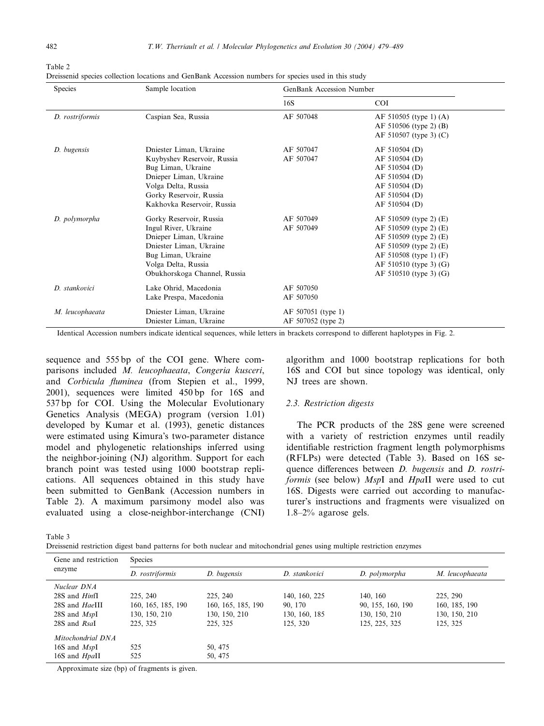Table 2

Dreissenid species collection locations and GenBank Accession numbers for species used in this study

| Species         | Sample location              | GenBank Accession Number |                        |
|-----------------|------------------------------|--------------------------|------------------------|
|                 |                              | 16S                      | <b>COI</b>             |
| D. rostriformis | Caspian Sea, Russia          | AF 507048                | AF 510505 (type 1) (A) |
|                 |                              |                          | AF 510506 (type 2) (B) |
|                 |                              |                          | AF 510507 (type 3) (C) |
| D. bugensis     | Dniester Liman, Ukraine      | AF 507047                | AF 510504 (D)          |
|                 | Kuybyshev Reservoir, Russia  | AF 507047                | AF 510504 (D)          |
|                 | Bug Liman, Ukraine           |                          | AF 510504 (D)          |
|                 | Dnieper Liman, Ukraine       |                          | AF 510504 (D)          |
|                 | Volga Delta, Russia          |                          | AF 510504 (D)          |
|                 | Gorky Reservoir, Russia      |                          | AF 510504 (D)          |
|                 | Kakhovka Reservoir, Russia   |                          | AF 510504 (D)          |
| D. polymorpha   | Gorky Reservoir, Russia      | AF 507049                | AF 510509 (type 2) (E) |
|                 | Ingul River, Ukraine         | AF 507049                | AF 510509 (type 2) (E) |
|                 | Dnieper Liman, Ukraine       |                          | AF 510509 (type 2) (E) |
|                 | Dniester Liman, Ukraine      |                          | AF 510509 (type 2) (E) |
|                 | Bug Liman, Ukraine           |                          | AF 510508 (type 1) (F) |
|                 | Volga Delta, Russia          |                          | AF 510510 (type 3) (G) |
|                 | Obukhorskoga Channel, Russia |                          | AF 510510 (type 3) (G) |
| D. stankovici   | Lake Ohrid, Macedonia        | AF 507050                |                        |
|                 | Lake Prespa, Macedonia       | AF 507050                |                        |
| M. leucophaeata | Dniester Liman, Ukraine      | AF 507051 (type 1)       |                        |
|                 | Dniester Liman, Ukraine      | AF 507052 (type 2)       |                        |

Identical Accession numbers indicate identical sequences, while letters in brackets correspond to different haplotypes in Fig. 2.

sequence and 555 bp of the COI gene. Where comparisons included M. leucophaeata, Congeria kusceri, and Corbicula fluminea (from Stepien et al., 1999, 2001), sequences were limited 450 bp for 16S and 537 bp for COI. Using the Molecular Evolutionary Genetics Analysis (MEGA) program (version 1.01) developed by Kumar et al. (1993), genetic distances were estimated using Kimura's two-parameter distance model and phylogenetic relationships inferred using the neighbor-joining (NJ) algorithm. Support for each branch point was tested using 1000 bootstrap replications. All sequences obtained in this study have been submitted to GenBank (Accession numbers in Table 2). A maximum parsimony model also was evaluated using a close-neighbor-interchange (CNI)

algorithm and 1000 bootstrap replications for both 16S and COI but since topology was identical, only NJ trees are shown.

#### 2.3. Restriction digests

The PCR products of the 28S gene were screened with a variety of restriction enzymes until readily identifiable restriction fragment length polymorphisms (RFLPs) were detected (Table 3). Based on 16S sequence differences between D. bugensis and D. rostriformis (see below) MspI and HpaII were used to cut 16S. Digests were carried out according to manufacturer's instructions and fragments were visualized on 1.8–2% agarose gels.

| ۰ |  |
|---|--|
|---|--|

Dreissenid restriction digest band patterns for both nuclear and mitochondrial genes using multiple restriction enzymes

| Gene and restriction | <b>Species</b>     |                    |               |                   |                 |  |
|----------------------|--------------------|--------------------|---------------|-------------------|-----------------|--|
| enzyme               | D. rostriformis    | D. bugensis        | D. stankovici | D. polymorpha     | M. leucophaeata |  |
| Nuclear DNA          |                    |                    |               |                   |                 |  |
| $28S$ and $HintI$    | 225, 240           | 225, 240           | 140, 160, 225 | 140, 160          | 225, 290        |  |
| 28S and HaelII       | 160, 165, 185, 190 | 160, 165, 185, 190 | 90, 170       | 90, 155, 160, 190 | 160, 185, 190   |  |
| $28S$ and $MspI$     | 130, 150, 210      | 130, 150, 210      | 130, 160, 185 | 130, 150, 210     | 130, 150, 210   |  |
| 28S and Rsal         | 225, 325           | 225, 325           | 125, 320      | 125, 225, 325     | 125, 325        |  |
| Mitochondrial DNA    |                    |                    |               |                   |                 |  |
| 16S and $MspI$       | 525                | 50, 475            |               |                   |                 |  |
| 16S and HpaII        | 525                | 50, 475            |               |                   |                 |  |

Approximate size (bp) of fragments is given.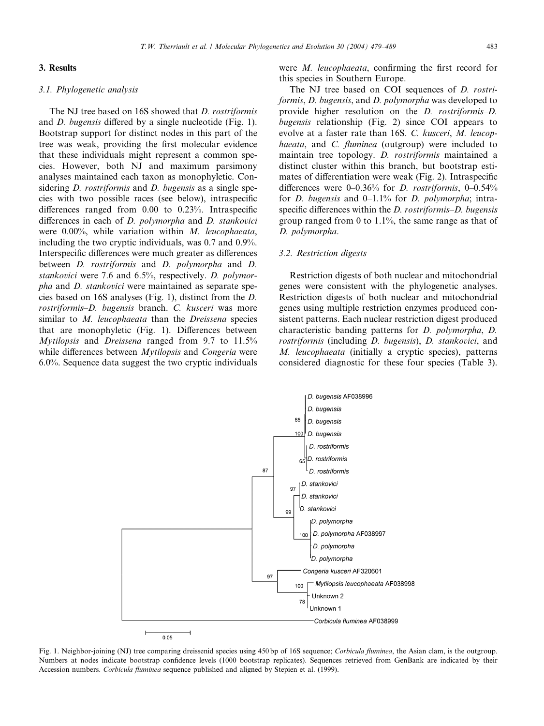# 3.1. Phylogenetic analysis

The NJ tree based on 16S showed that D. rostriformis and D. bugensis differed by a single nucleotide (Fig. 1). Bootstrap support for distinct nodes in this part of the tree was weak, providing the first molecular evidence that these individuals might represent a common species. However, both NJ and maximum parsimony analyses maintained each taxon as monophyletic. Considering *D. rostriformis* and *D. bugensis* as a single species with two possible races (see below), intraspecific differences ranged from 0.00 to 0.23%. Intraspecific differences in each of D. polymorpha and D. stankovici were 0.00%, while variation within M. leucophaeata, including the two cryptic individuals, was 0.7 and 0.9%. Interspecific differences were much greater as differences between D. rostriformis and D. polymorpha and D. stankovici were 7.6 and 6.5%, respectively. D. polymorpha and D. stankovici were maintained as separate species based on 16S analyses (Fig. 1), distinct from the D. rostriformis–D. bugensis branch. C. kusceri was more similar to M. leucophaeata than the Dreissena species that are monophyletic (Fig. 1). Differences between Mytilopsis and Dreissena ranged from 9.7 to 11.5% while differences between *Mytilopsis* and *Congeria* were 6.0%. Sequence data suggest the two cryptic individuals

were M. leucophaeata, confirming the first record for this species in Southern Europe.

The NJ tree based on COI sequences of *D. rostri*formis, D. bugensis, and D. polymorpha was developed to provide higher resolution on the D. rostriformis–D. bugensis relationship (Fig. 2) since COI appears to evolve at a faster rate than 16S. C. kusceri, M. leucophaeata, and C. fluminea (outgroup) were included to maintain tree topology. D. rostriformis maintained a distinct cluster within this branch, but bootstrap estimates of differentiation were weak (Fig. 2). Intraspecific differences were 0–0.36% for D. rostriformis, 0–0.54% for *D. bugensis* and  $0-1.1\%$  for *D. polymorpha*; intraspecific differences within the *D. rostriformis–D. bugensis* group ranged from 0 to 1.1%, the same range as that of D. polymorpha.

#### 3.2. Restriction digests

Restriction digests of both nuclear and mitochondrial genes were consistent with the phylogenetic analyses. Restriction digests of both nuclear and mitochondrial genes using multiple restriction enzymes produced consistent patterns. Each nuclear restriction digest produced characteristic banding patterns for D. polymorpha, D. rostriformis (including D. bugensis), D. stankovici, and M. leucophaeata (initially a cryptic species), patterns considered diagnostic for these four species (Table 3).



Fig. 1. Neighbor-joining (NJ) tree comparing dreissenid species using 450 bp of 16S sequence; Corbicula fluminea, the Asian clam, is the outgroup. Numbers at nodes indicate bootstrap confidence levels (1000 bootstrap replicates). Sequences retrieved from GenBank are indicated by their Accession numbers. Corbicula fluminea sequence published and aligned by Stepien et al. (1999).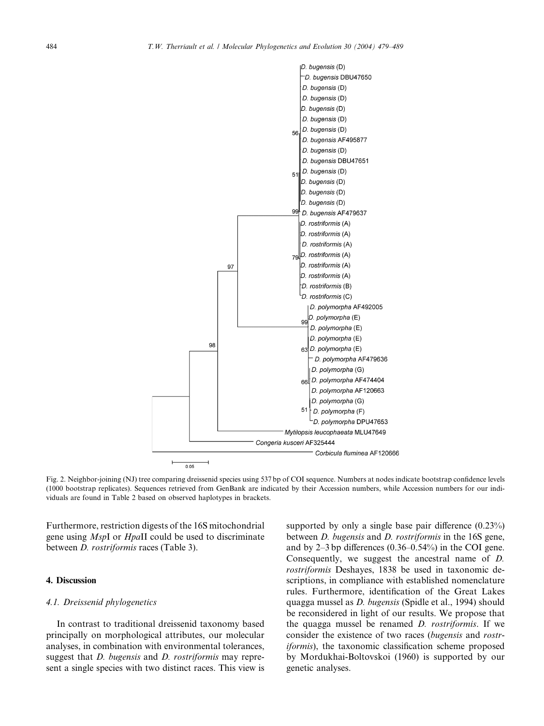

Fig. 2. Neighbor-joining (NJ) tree comparing dreissenid species using 537 bp of COI sequence. Numbers at nodes indicate bootstrap confidence levels (1000 bootstrap replicates). Sequences retrieved from GenBank are indicated by their Accession numbers, while Accession numbers for our individuals are found in Table 2 based on observed haplotypes in brackets.

Furthermore, restriction digests of the 16S mitochondrial gene using MspI or HpaII could be used to discriminate between D. rostriformis races (Table 3).

# 4. Discussion

# 4.1. Dreissenid phylogenetics

In contrast to traditional dreissenid taxonomy based principally on morphological attributes, our molecular analyses, in combination with environmental tolerances, suggest that *D. bugensis* and *D. rostriformis* may represent a single species with two distinct races. This view is supported by only a single base pair difference  $(0.23\%)$ between *D. bugensis* and *D. rostriformis* in the 16S gene, and by 2–3 bp differences (0.36–0.54%) in the COI gene. Consequently, we suggest the ancestral name of D. rostriformis Deshayes, 1838 be used in taxonomic descriptions, in compliance with established nomenclature rules. Furthermore, identification of the Great Lakes quagga mussel as D. bugensis (Spidle et al., 1994) should be reconsidered in light of our results. We propose that the quagga mussel be renamed D. rostriformis. If we consider the existence of two races (bugensis and rostriformis), the taxonomic classification scheme proposed by Mordukhai-Boltovskoi (1960) is supported by our genetic analyses.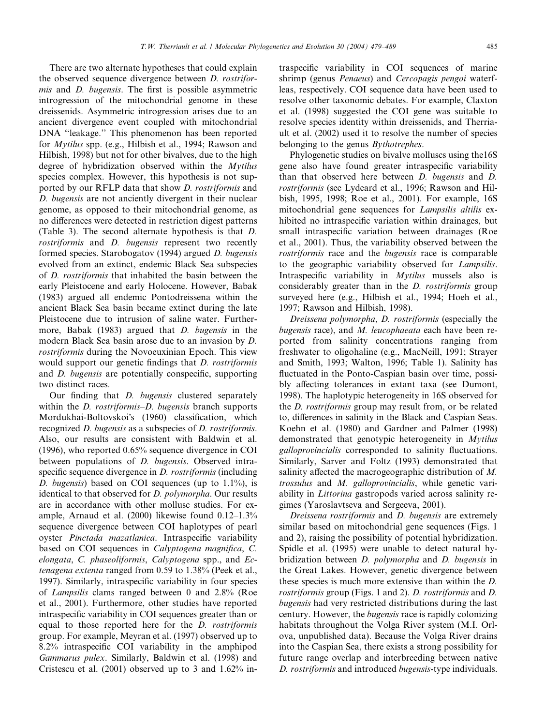There are two alternate hypotheses that could explain the observed sequence divergence between D. rostriformis and D. bugensis. The first is possible asymmetric introgression of the mitochondrial genome in these dreissenids. Asymmetric introgression arises due to an ancient divergence event coupled with mitochondrial DNA ''leakage.'' This phenomenon has been reported for Mytilus spp. (e.g., Hilbish et al., 1994; Rawson and Hilbish, 1998) but not for other bivalves, due to the high degree of hybridization observed within the Mytilus species complex. However, this hypothesis is not supported by our RFLP data that show D. rostriformis and D. bugensis are not anciently divergent in their nuclear genome, as opposed to their mitochondrial genome, as no differences were detected in restriction digest patterns (Table 3). The second alternate hypothesis is that D. rostriformis and D. bugensis represent two recently formed species. Starobogatov (1994) argued D. bugensis evolved from an extinct, endemic Black Sea subspecies of D. rostriformis that inhabited the basin between the early Pleistocene and early Holocene. However, Babak (1983) argued all endemic Pontodreissena within the ancient Black Sea basin became extinct during the late Pleistocene due to intrusion of saline water. Furthermore, Babak (1983) argued that *D. bugensis* in the modern Black Sea basin arose due to an invasion by D. rostriformis during the Novoeuxinian Epoch. This view would support our genetic findings that *D. rostriformis* and D. bugensis are potentially conspecific, supporting two distinct races.

Our finding that D. bugensis clustered separately within the *D. rostriformis–D. bugensis* branch supports Mordukhai-Boltovskois (1960) classification, which recognized D. bugensis as a subspecies of D. rostriformis. Also, our results are consistent with Baldwin et al. (1996), who reported 0.65% sequence divergence in COI between populations of *D. bugensis*. Observed intraspecific sequence divergence in *D. rostriformis* (including D. bugensis) based on COI sequences (up to  $1.1\%$ ), is identical to that observed for D. polymorpha. Our results are in accordance with other mollusc studies. For example, Arnaud et al. (2000) likewise found 0.12–1.3% sequence divergence between COI haplotypes of pearl oyster Pinctada mazatlanica. Intraspecific variability based on COI sequences in Calyptogena magnifica, C. elongata, C. phaseoliformis, Calyptogena spp., and Ectenagena extenta ranged from 0.59 to 1.38% (Peek et al., 1997). Similarly, intraspecific variability in four species of Lampsilis clams ranged between 0 and 2.8% (Roe et al., 2001). Furthermore, other studies have reported intraspecific variability in COI sequences greater than or equal to those reported here for the D. rostriformis group. For example, Meyran et al. (1997) observed up to 8.2% intraspecific COI variability in the amphipod Gammarus pulex. Similarly, Baldwin et al. (1998) and Cristescu et al. (2001) observed up to 3 and 1.62% intraspecific variability in COI sequences of marine shrimp (genus Penaeus) and Cercopagis pengoi waterfleas, respectively. COI sequence data have been used to resolve other taxonomic debates. For example, Claxton et al. (1998) suggested the COI gene was suitable to resolve species identity within dreissenids, and Therriault et al. (2002) used it to resolve the number of species belonging to the genus Bythotrephes.

Phylogenetic studies on bivalve molluscs using the16S gene also have found greater intraspecific variability than that observed here between D. bugensis and D. rostriformis (see Lydeard et al., 1996; Rawson and Hilbish, 1995, 1998; Roe et al., 2001). For example, 16S mitochondrial gene sequences for Lampsilis altilis exhibited no intraspecific variation within drainages, but small intraspecific variation between drainages (Roe et al., 2001). Thus, the variability observed between the rostriformis race and the bugensis race is comparable to the geographic variability observed for Lampsilis. Intraspecific variability in *Mytilus* mussels also is considerably greater than in the D. rostriformis group surveyed here (e.g., Hilbish et al., 1994; Hoeh et al., 1997; Rawson and Hilbish, 1998).

Dreissena polymorpha, D. rostriformis (especially the bugensis race), and  $M$ . leucophaeata each have been reported from salinity concentrations ranging from freshwater to oligohaline (e.g., MacNeill, 1991; Strayer and Smith, 1993; Walton, 1996; Table 1). Salinity has fluctuated in the Ponto-Caspian basin over time, possibly affecting tolerances in extant taxa (see Dumont, 1998). The haplotypic heterogeneity in 16S observed for the D. rostriformis group may result from, or be related to, differences in salinity in the Black and Caspian Seas. Koehn et al. (1980) and Gardner and Palmer (1998) demonstrated that genotypic heterogeneity in Mytilus galloprovincialis corresponded to salinity fluctuations. Similarly, Sarver and Foltz (1993) demonstrated that salinity affected the macrogeographic distribution of M. trossulus and M. galloprovincialis, while genetic variability in Littorina gastropods varied across salinity regimes (Yaroslavtseva and Sergeeva, 2001).

Dreissena rostriformis and D. bugensis are extremely similar based on mitochondrial gene sequences (Figs. 1 and 2), raising the possibility of potential hybridization. Spidle et al. (1995) were unable to detect natural hybridization between D. polymorpha and D. bugensis in the Great Lakes. However, genetic divergence between these species is much more extensive than within the D. rostriformis group (Figs. 1 and 2). D. rostriformis and D. bugensis had very restricted distributions during the last century. However, the bugensis race is rapidly colonizing habitats throughout the Volga River system (M.I. Orlova, unpublished data). Because the Volga River drains into the Caspian Sea, there exists a strong possibility for future range overlap and interbreeding between native D. rostriformis and introduced bugensis-type individuals.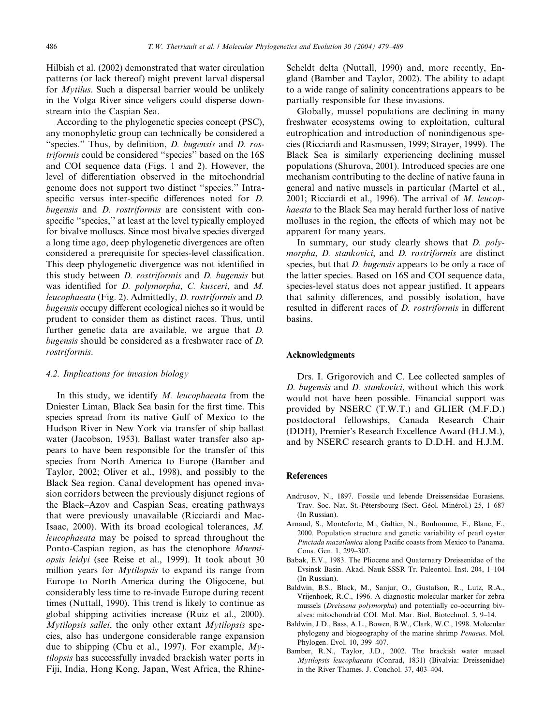Hilbish et al. (2002) demonstrated that water circulation patterns (or lack thereof) might prevent larval dispersal for Mytilus. Such a dispersal barrier would be unlikely in the Volga River since veligers could disperse downstream into the Caspian Sea.

According to the phylogenetic species concept (PSC), any monophyletic group can technically be considered a "species." Thus, by definition, *D. bugensis* and *D. ros*triformis could be considered ''species'' based on the 16S and COI sequence data (Figs. 1 and 2). However, the level of differentiation observed in the mitochondrial genome does not support two distinct ''species.'' Intraspecific versus inter-specific differences noted for D. bugensis and D. rostriformis are consistent with conspecific "species," at least at the level typically employed for bivalve molluscs. Since most bivalve species diverged a long time ago, deep phylogenetic divergences are often considered a prerequisite for species-level classification. This deep phylogenetic divergence was not identified in this study between D. rostriformis and D. bugensis but was identified for D. polymorpha, C. kusceri, and M. leucophaeata (Fig. 2). Admittedly, D. rostriformis and D. bugensis occupy different ecological niches so it would be prudent to consider them as distinct races. Thus, until further genetic data are available, we argue that D. bugensis should be considered as a freshwater race of D. rostriformis.

# 4.2. Implications for invasion biology

In this study, we identify  $M$ . leucophaeata from the Dniester Liman, Black Sea basin for the first time. This species spread from its native Gulf of Mexico to the Hudson River in New York via transfer of ship ballast water (Jacobson, 1953). Ballast water transfer also appears to have been responsible for the transfer of this species from North America to Europe (Bamber and Taylor, 2002; Oliver et al., 1998), and possibly to the Black Sea region. Canal development has opened invasion corridors between the previously disjunct regions of the Black–Azov and Caspian Seas, creating pathways that were previously unavailable (Ricciardi and Mac-Isaac, 2000). With its broad ecological tolerances, M. leucophaeata may be poised to spread throughout the Ponto-Caspian region, as has the ctenophore Mnemiopsis leidyi (see Reise et al., 1999). It took about 30 million years for *Mytilopsis* to expand its range from Europe to North America during the Oligocene, but considerably less time to re-invade Europe during recent times (Nuttall, 1990). This trend is likely to continue as global shipping activities increase (Ruiz et al., 2000). Mytilopsis sallei, the only other extant Mytilopsis species, also has undergone considerable range expansion due to shipping (Chu et al., 1997). For example,  $My$ tilopsis has successfully invaded brackish water ports in Fiji, India, Hong Kong, Japan, West Africa, the RhineScheldt delta (Nuttall, 1990) and, more recently, England (Bamber and Taylor, 2002). The ability to adapt to a wide range of salinity concentrations appears to be partially responsible for these invasions.

Globally, mussel populations are declining in many freshwater ecosystems owing to exploitation, cultural eutrophication and introduction of nonindigenous species (Ricciardi and Rasmussen, 1999; Strayer, 1999). The Black Sea is similarly experiencing declining mussel populations (Shurova, 2001). Introduced species are one mechanism contributing to the decline of native fauna in general and native mussels in particular (Martel et al., 2001; Ricciardi et al., 1996). The arrival of M. leucophaeata to the Black Sea may herald further loss of native molluscs in the region, the effects of which may not be apparent for many years.

In summary, our study clearly shows that D. polymorpha, D. stankovici, and D. rostriformis are distinct species, but that *D. bugensis* appears to be only a race of the latter species. Based on 16S and COI sequence data, species-level status does not appear justified. It appears that salinity differences, and possibly isolation, have resulted in different races of D. rostriformis in different basins.

# Acknowledgments

Drs. I. Grigorovich and C. Lee collected samples of D. bugensis and D. stankovici, without which this work would not have been possible. Financial support was provided by NSERC (T.W.T.) and GLIER (M.F.D.) postdoctoral fellowships, Canada Research Chair (DDH), Premier's Research Excellence Award (H.J.M.), and by NSERC research grants to D.D.H. and H.J.M.

#### References

- Andrusov, N., 1897. Fossile und lebende Dreissensidae Eurasiens. Trav. Soc. Nat. St.-Pétersbourg (Sect. Géol. Minérol.) 25, 1-687 (In Russian).
- Arnaud, S., Monteforte, M., Galtier, N., Bonhomme, F., Blanc, F., 2000. Population structure and genetic variability of pearl oyster Pinctada mazatlanica along Pacific coasts from Mexico to Panama. Cons. Gen. 1, 299–307.
- Babak, E.V., 1983. The Pliocene and Quaternary Dreissenidae of the Evsinsk Basin. Akad. Nauk SSSR Tr. Paleontol. Inst. 204, 1–104 (In Russian).
- Baldwin, B.S., Black, M., Sanjur, O., Gustafson, R., Lutz, R.A., Vrijenhoek, R.C., 1996. A diagnostic molecular marker for zebra mussels (Dreissena polymorpha) and potentially co-occurring bivalves: mitochondrial COI. Mol. Mar. Biol. Biotechnol. 5, 9–14.
- Baldwin, J.D., Bass, A.L., Bowen, B.W., Clark, W.C., 1998. Molecular phylogeny and biogeography of the marine shrimp Penaeus. Mol. Phylogen. Evol. 10, 399–407.
- Bamber, R.N., Taylor, J.D., 2002. The brackish water mussel Mytilopsis leucophaeata (Conrad, 1831) (Bivalvia: Dreissenidae) in the River Thames. J. Conchol. 37, 403–404.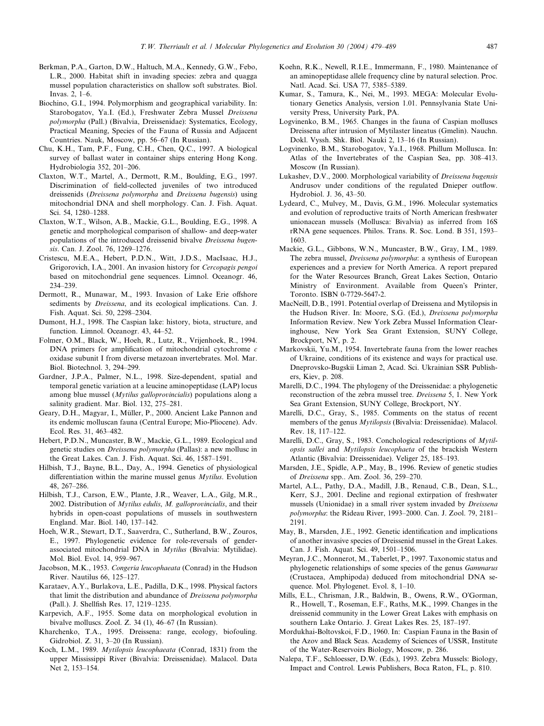- Berkman, P.A., Garton, D.W., Haltuch, M.A., Kennedy, G.W., Febo, L.R., 2000. Habitat shift in invading species: zebra and quagga mussel population characteristics on shallow soft substrates. Biol. Invas. 2, 1–6.
- Biochino, G.I., 1994. Polymorphism and geographical variability. In: Starobogatov, Ya.I. (Ed.), Freshwater Zebra Mussel Dreissena polymorpha (Pall.) (Bivalvia, Dreissenidae): Systematics, Ecology, Practical Meaning, Species of the Fauna of Russia and Adjacent Countries. Nauk, Moscow, pp. 56–67 (In Russian).
- Chu, K.H., Tam, P.F., Fung, C.H., Chen, Q.C., 1997. A biological survey of ballast water in container ships entering Hong Kong. Hydrobiologia 352, 201–206.
- Claxton, W.T., Martel, A., Dermott, R.M., Boulding, E.G., 1997. Discrimination of field-collected juveniles of two introduced dreissenids (Dreissena polymorpha and Dreissena bugensis) using mitochondrial DNA and shell morphology. Can. J. Fish. Aquat. Sci. 54, 1280–1288.
- Claxton, W.T., Wilson, A.B., Mackie, G.L., Boulding, E.G., 1998. A genetic and morphological comparison of shallow- and deep-water populations of the introduced dreissenid bivalve Dreissena bugensis. Can. J. Zool. 76, 1269–1276.
- Cristescu, M.E.A., Hebert, P.D.N., Witt, J.D.S., MacIsaac, H.J., Grigorovich, I.A., 2001. An invasion history for Cercopagis pengoi based on mitochondrial gene sequences. Limnol. Oceanogr. 46, 234–239.
- Dermott, R., Munawar, M., 1993. Invasion of Lake Erie offshore sediments by Dreissena, and its ecological implications. Can. J. Fish. Aquat. Sci. 50, 2298–2304.
- Dumont, H.J., 1998. The Caspian lake: history, biota, structure, and function. Limnol. Oceanogr. 43, 44–52.
- Folmer, O.M., Black, W., Hoeh, R., Lutz, R., Vrijenhoek, R., 1994. DNA primers for amplification of mitochondrial cytochrome  $c$ oxidase subunit I from diverse metazoan invertebrates. Mol. Mar. Biol. Biotechnol. 3, 294–299.
- Gardner, J.P.A., Palmer, N.L., 1998. Size-dependent, spatial and temporal genetic variation at a leucine aminopeptidase (LAP) locus among blue mussel (Mytilus galloprovincialis) populations along a salinity gradient. Mar. Biol. 132, 275–281.
- Geary, D.H., Magyar, I., Müller, P., 2000. Ancient Lake Pannon and its endemic molluscan fauna (Central Europe; Mio-Pliocene). Adv. Ecol. Res. 31, 463–482.
- Hebert, P.D.N., Muncaster, B.W., Mackie, G.L., 1989. Ecological and genetic studies on Dreissena polymorpha (Pallas): a new mollusc in the Great Lakes. Can. J. Fish. Aquat. Sci. 46, 1587–1591.
- Hilbish, T.J., Bayne, B.L., Day, A., 1994. Genetics of physiological differentiation within the marine mussel genus  $Mytilus$ . Evolution 48, 267–286.
- Hilbish, T.J., Carson, E.W., Plante, J.R., Weaver, L.A., Gilg, M.R., 2002. Distribution of Mytilus edulis, M. galloprovincialis, and their hybrids in open-coast populations of mussels in southwestern England. Mar. Biol. 140, 137–142.
- Hoeh, W.R., Stewart, D.T., Saaverdra, C., Sutherland, B.W., Zouros, E., 1997. Phylogenetic evidence for role-reversals of genderassociated mitochondrial DNA in Mytilus (Bivalvia: Mytilidae). Mol. Biol. Evol. 14, 959–967.
- Jacobson, M.K., 1953. Congeria leucophaeata (Conrad) in the Hudson River. Nautilus 66, 125–127.
- Karataev, A.Y., Burlakova, L.E., Padilla, D.K., 1998. Physical factors that limit the distribution and abundance of Dreissena polymorpha (Pall.). J. Shellfish Res. 17, 1219–1235.
- Karpevich, A.F., 1955. Some data on morphological evolution in bivalve molluscs. Zool. Z. 34 (1), 46–67 (In Russian).
- Kharchenko, T.A., 1995. Dreissena: range, ecology, biofouling. Gidrobiol. Z. 31, 3–20 (In Russian).
- Koch, L.M., 1989. Mytilopsis leucophaeata (Conrad, 1831) from the upper Mississippi River (Bivalvia: Dreissenidae). Malacol. Data Net 2, 153–154.
- Koehn, R.K., Newell, R.I.E., Immermann, F., 1980. Maintenance of an aminopeptidase allele frequency cline by natural selection. Proc. Natl. Acad. Sci. USA 77, 5385–5389.
- Kumar, S., Tamura, K., Nei, M., 1993. MEGA: Molecular Evolutionary Genetics Analysis, version 1.01. Pennsylvania State University Press, University Park, PA.
- Logvinenko, B.M., 1965. Changes in the fauna of Caspian molluscs Dreissena after intrusion of Mytilaster lineatus (Gmelin). Nauchn. Dokl. Vyssh. Shk. Biol. Nauki 2, 13–16 (In Russian).
- Logvinenko, B.M., Starobogatov, Ya.I., 1968. Phillum Mollusca. In: Atlas of the Invertebrates of the Caspian Sea, pp. 308–413. Moscow (In Russian).
- Lukashev, D.V., 2000. Morphological variability of Dreissena bugensis Andrusov under conditions of the regulated Dnieper outflow. Hydrobiol. J. 36, 43–50.
- Lydeard, C., Mulvey, M., Davis, G.M., 1996. Molecular systematics and evolution of reproductive traits of North American freshwater unionacean mussels (Mollusca: Bivalvia) as inferred from 16S rRNA gene sequences. Philos. Trans. R. Soc. Lond. B 351, 1593– 1603.
- Mackie, G.L., Gibbons, W.N., Muncaster, B.W., Gray, I.M., 1989. The zebra mussel, Dreissena polymorpha: a synthesis of European experiences and a preview for North America. A report prepared for the Water Resources Branch, Great Lakes Section, Ontario Ministry of Environment. Available from Queen's Printer, Toronto. ISBN 0-7729-5647-2.
- MacNeill, D.B., 1991. Potential overlap of Dreissena and Mytilopsis in the Hudson River. In: Moore, S.G. (Ed.), Dreissena polymorpha Information Review. New York Zebra Mussel Information Clearinghouse, New York Sea Grant Extension, SUNY College, Brockport, NY, p. 2.
- Markovskii, Yu.M., 1954. Invertebrate fauna from the lower reaches of Ukraine, conditions of its existence and ways for practical use. Dneprovsko-Bugskii Liman 2, Acad. Sci. Ukrainian SSR Publishers, Kiev, p. 208.
- Marelli, D.C., 1994. The phylogeny of the Dreissenidae: a phylogenetic reconstruction of the zebra mussel tree. Dreissena 5, 1. New York Sea Grant Extension, SUNY College, Brockport, NY.
- Marelli, D.C., Gray, S., 1985. Comments on the status of recent members of the genus Mytilopsis (Bivalvia: Dreissenidae). Malacol. Rev. 18, 117–122.
- Marelli, D.C., Gray, S., 1983. Conchological redescriptions of *Mytil*opsis sallei and Mytilopsis leucophaeta of the brackish Western Atlantic (Bivalvia: Dreissenidae). Veliger 25, 185–193.
- Marsden, J.E., Spidle, A.P., May, B., 1996. Review of genetic studies of Dreissena spp.. Am. Zool. 36, 259–270.
- Martel, A.L., Pathy, D.A., Madill, J.B., Renaud, C.B., Dean, S.L., Kerr, S.J., 2001. Decline and regional extirpation of freshwater mussels (Unionidae) in a small river system invaded by Dreissena polymorpha: the Rideau River, 1993–2000. Can. J. Zool. 79, 2181– 2191.
- May, B., Marsden, J.E., 1992. Genetic identification and implications of another invasive species of Dreissenid mussel in the Great Lakes. Can. J. Fish. Aquat. Sci. 49, 1501–1506.
- Meyran, J.C., Monnerot, M., Taberlet, P., 1997. Taxonomic status and phylogenetic relationships of some species of the genus Gammarus (Crustacea, Amphipoda) deduced from mitochondrial DNA sequence. Mol. Phylogenet. Evol. 8, 1–10.
- Mills, E.L., Chrisman, J.R., Baldwin, B., Owens, R.W., O'Gorman, R., Howell, T., Roseman, E.F., Raths, M.K., 1999. Changes in the dreissenid community in the Lower Great Lakes with emphasis on southern Lake Ontario. J. Great Lakes Res. 25, 187–197.
- Mordukhai-Boltovskoi, F.D., 1960. In: Caspian Fauna in the Basin of the Azov and Black Seas. Academy of Sciences of USSR, Institute of the Water-Reservoirs Biology, Moscow, p. 286.
- Nalepa, T.F., Schloesser, D.W. (Eds.), 1993. Zebra Mussels: Biology, Impact and Control. Lewis Publishers, Boca Raton, FL, p. 810.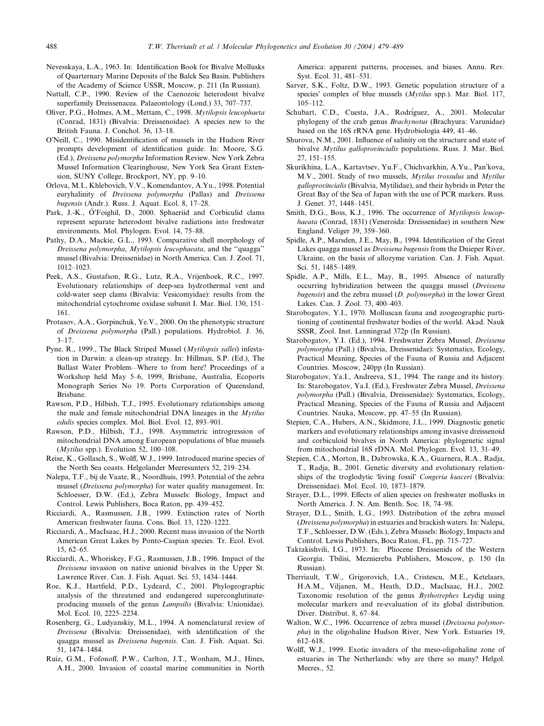- Nevesskaya, L.A., 1963. In: Identification Book for Bivalve Mollusks of Quarternary Marine Deposits of the Balck Sea Basin. Publishers of the Academy of Science USSR, Moscow, p. 211 (In Russian).
- Nuttall, C.P., 1990. Review of the Caenozoic heterodont bivalve superfamily Dreissenacea. Palaeontology (Lond.) 33, 707–737.
- Oliver, P.G., Holmes, A.M., Mettam, C., 1998. Mytilopsis leucophaeta (Conrad, 1831) (Bivalvia: Dreissenoidae). A species new to the British Fauna. J. Conchol. 36, 13–18.
- O'Neill, C., 1990. Misidentification of mussels in the Hudson River prompts development of identification guide. In: Moore, S.G. (Ed.), Dreissena polymorpha Information Review. New York Zebra Mussel Information Clearinghouse, New York Sea Grant Extension, SUNY College, Brockport, NY, pp. 9–10.
- Orlova, M.I., Khlebovich, V.V., Komendantov, A.Yu., 1998. Potential euryhalinity of Dreissena polymorpha (Pallas) and Dreissena bugensis (Andr.). Russ. J. Aquat. Ecol. 8, 17–28.
- Park, J.-K., O'Foighil, D., 2000. Sphaeriid and Corbiculid clams represent separate heterodont bivalve radiations into freshwater environments. Mol. Phylogen. Evol. 14, 75–88.
- Pathy, D.A., Mackie, G.L., 1993. Comparative shell morphology of Dreissena polymorpha, Mytilopsis leucophaeata, and the ''quagga'' mussel (Bivalvia: Dreissenidae) in North America. Can. J. Zool. 71, 1012–1023.
- Peek, A.S., Gustafson, R.G., Lutz, R.A., Vrijenhoek, R.C., 1997. Evolutionary relationships of deep-sea hydrothermal vent and cold-water seep clams (Bivalvia: Vesicomyidae): results from the mitochondrial cytochrome oxidase subunit I. Mar. Biol. 130, 151– 161.
- Protasov, A.A., Gorpinchuk, Ye.V., 2000. On the phenotypic structure of Dreissena polymorpha (Pall.) populations. Hydrobiol. J. 36,  $3 - 17$ .
- Pyne, R., 1999., The Black Striped Mussel (Mytilopsis sallei) infestation in Darwin: a clean-up strategy. In: Hillman, S.P. (Ed.), The Ballast Water Problem—Where to from here? Proceedings of a Workshop held May 5–6, 1999, Brisbane, Australia, Ecoports Monograph Series No 19. Ports Corporation of Queensland, Brisbane.
- Rawson, P.D., Hilbish, T.J., 1995. Evolutionary relationships among the male and female mitochondrial DNA lineages in the Mytilus edulis species complex. Mol. Biol. Evol. 12, 893–901.
- Rawson, P.D., Hilbish, T.J., 1998. Asymmetric introgression of mitochondrial DNA among European populations of blue mussels (*Mytilus* spp.). Evolution 52,  $100-108$ .
- Reise, K., Gollasch, S., Wolff, W.J., 1999. Introduced marine species of the North Sea coasts. Helgolander Meeresunters 52, 219–234.
- Nalepa, T.F., bij de Vaate, R., Noordhuis, 1993. Potential of the zebra mussel (Dreissena polymorpha) for water quality management. In: Schloesser, D.W. (Ed.), Zebra Mussels: Biology, Impact and Control. Lewis Publishers, Boca Raton, pp. 439–452.
- Ricciardi, A., Rasmussen, J.B., 1999. Extinction rates of North American freshwater fauna. Cons. Biol. 13, 1220–1222.
- Ricciardi, A., MacIsaac, H.J., 2000. Recent mass invasion of the North American Great Lakes by Ponto-Caspian species. Tr. Ecol. Evol. 15, 62–65.
- Ricciardi, A., Whoriskey, F.G., Rasmussen, J.B., 1996. Impact of the Dreissena invasion on native unionid bivalves in the Upper St. Lawrence River. Can. J. Fish. Aquat. Sci. 53, 1434–1444.
- Roe, K.J., Hartfield, P.D., Lydeard, C., 2001. Phylogeographic analysis of the threatened and endangered superconglutinateproducing mussels of the genus Lampsilis (Bivalvia: Unionidae). Mol. Ecol. 10, 2225–2234.
- Rosenberg, G., Ludyanskiy, M.L., 1994. A nomenclatural review of Dreissena (Bivalvia: Dreissenidae), with identification of the quagga mussel as Dreissena bugensis. Can. J. Fish. Aquat. Sci. 51, 1474–1484.
- Ruiz, G.M., Fofonoff, P.W., Carlton, J.T., Wonham, M.J., Hines, A.H., 2000. Invasion of coastal marine communities in North

America: apparent patterns, processes, and biases. Annu. Rev. Syst. Ecol. 31, 481–531.

- Sarver, S.K., Foltz, D.W., 1993. Genetic population structure of a species' complex of blue mussels  $(Mvtilus spp.)$ . Mar. Biol. 117, 105–112.
- Schubart, C.D., Cuesta, J.A., Rodriguez, A., 2001. Molecular phylogeny of the crab genus Brachynotus (Brachyura: Varunidae) based on the 16S rRNA gene. Hydrobiologia 449, 41–46.
- Shurova, N.M., 2001. Influence of salinity on the structure and state of bivalve Mytilus galloprovincialis populations. Russ. J. Mar. Biol. 27, 151–155.
- Skurikhina, L.A., Kartavtsev, Yu.F., Chichvarkhin, A.Yu., Pan'kova, M.V., 2001. Study of two mussels, Mytilus trossulus and Mytilus galloprovincialis (Bivalvia, Mytilidae), and their hybrids in Peter the Great Bay of the Sea of Japan with the use of PCR markers. Russ. J. Genet. 37, 1448–1451.
- Smith, D.G., Boss, K.J., 1996. The occurrence of *Mytilopsis leucop*haeata (Conrad, 1831) (Veneroida: Dreissenidae) in southern New England. Veliger 39, 359–360.
- Spidle, A.P., Marsden, J.E., May, B., 1994. Identification of the Great Lakes quagga mussel as Dreissena bugensis from the Dnieper River, Ukraine, on the basis of allozyme variation. Can. J. Fish. Aquat. Sci. 51, 1485–1489.
- Spidle, A.P., Mills, E.L., May, B., 1995. Absence of naturally occurring hybridization between the quagga mussel (Dreissena bugensis) and the zebra mussel (D. polymorpha) in the lower Great Lakes. Can. J. Zool. 73, 400–403.
- Starobogatov, Y.I., 1970. Molluscan fauna and zoogeographic partitioning of continental freshwater bodies of the world. Akad. Nauk SSSR, Zool. Inst. Lenningrad 372p (In Russian).
- Starobogatov, Y.I. (Ed.), 1994. Freshwater Zebra Mussel, Dreissena polymorpha (Pall.) (Bivalvia, Dreissenidae): Systematics, Ecology, Practical Meaning, Species of the Fauna of Russia and Adjacent Countries. Moscow, 240pp (In Russian).
- Starobogatov, Ya.I., Andreeva, S.I., 1994. The range and its history. In: Starobogatov, Ya.I. (Ed.), Freshwater Zebra Mussel, Dreissena polymorpha (Pall.) (Bivalvia, Dreissenidae): Systematics, Ecology, Practical Meaning, Species of the Fauna of Russia and Adjacent Countries. Nauka, Moscow, pp. 47–55 (In Russian).
- Stepien, C.A., Hubers, A.N., Skidmore, J.L., 1999. Diagnostic genetic markers and evolutionary relationships among invasive dreissenoid and corbiculoid bivalves in North America: phylogenetic signal from mitochondrial 16S rDNA. Mol. Phylogen. Evol. 13, 31–49.
- Stepien, C.A., Morton, B., Dabrowska, K.A., Guarnera, R.A., Radja, T., Radja, B., 2001. Genetic diversity and evolutionary relationships of the troglodytic 'living fossil' Congeria kusceri (Bivalvia: Dreissenidae). Mol. Ecol. 10, 1873–1879.
- Strayer, D.L., 1999. Effects of alien species on freshwater mollusks in North America. J. N. Am. Benth. Soc. 18, 74–98.
- Strayer, D.L., Smith, L.G., 1993. Distribution of the zebra mussel (Dreissena polymorpha) in estuaries and brackish waters. In: Nalepa, T.F., Schloesser, D.W. (Eds.), Zebra Mussels: Biology, Impacts and Control. Lewis Publishers, Boca Raton, FL, pp. 715–727.
- Taktakishvili, I.G., 1973. In: Pliocene Dreissenids of the Western Georgia. Tbilisi, Mezniereba Publishers, Moscow, p. 150 (In Russian).
- Therriault, T.W., Grigorovich, I.A., Cristescu, M.E., Ketelaars, H.A.M., Viljanen, M., Heath, D.D., MacIsaac, H.J., 2002. Taxonomic resolution of the genus Bythotrephes Leydig using molecular markers and re-evaluation of its global distribution. Diver. Distribut. 8, 67–84.
- Walton, W.C., 1996. Occurrence of zebra mussel (Dreissena polymorpha) in the oligohaline Hudson River, New York. Estuaries 19, 612–618.
- Wolff, W.J., 1999. Exotic invaders of the meso-oligohaline zone of estuaries in The Netherlands: why are there so many? Helgol. Meeres., 52.